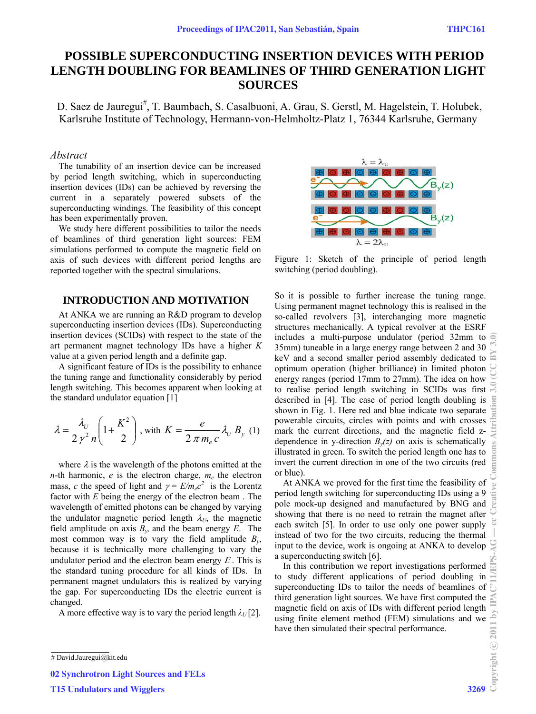# **POSSIBLE SUPERCONDUCTING INSERTION DEVICES WITH PERIOD LENGTH DOUBLING FOR BEAMLINES OF THIRD GENERATION LIGHT SOURCES**

D. Saez de Jauregui<sup>#</sup>, T. Baumbach, S. Casalbuoni, A. Grau, S. Gerstl, M. Hagelstein, T. Holubek, Karlsruhe Institute of Technology, Hermann-von-Helmholtz-Platz 1, 76344 Karlsruhe, Germany

#### *Abstract*

The tunability of an insertion device can be increased by period length switching, which in superconducting insertion devices (IDs) can be achieved by reversing the current in a separately powered subsets of the superconducting windings. The feasibility of this concept has been experimentally proven.

We study here different possibilities to tailor the needs of beamlines of third generation light sources: FEM simulations performed to compute the magnetic field on axis of such devices with different period lengths are reported together with the spectral simulations.

### **INTRODUCTION AND MOTIVATION**

At ANKA we are running an R&D program to develop superconducting insertion devices (IDs). Superconducting insertion devices (SCIDs) with respect to the state of the art permanent magnet technology IDs have a higher *K* value at a given period length and a definite gap.

A significant feature of IDs is the possibility to enhance the tuning range and functionality considerably by period length switching. This becomes apparent when looking at the standard undulator equation [1]

$$
\lambda = \frac{\lambda_U}{2 \gamma^2 n} \left( 1 + \frac{K^2}{2} \right), \text{ with } K = \frac{e}{2 \pi m_e c} \lambda_U B_y \text{ (1)}
$$

where  $\lambda$  is the wavelength of the photons emitted at the *n*-th harmonic,  $e$  is the electron charge,  $m_e$  the electron mass, *c* the speed of light and  $\gamma = E/m_e c^2$  is the Lorentz factor with *E* being the energy of the electron beam . The wavelength of emitted photons can be changed by varying the undulator magnetic period length  $\lambda_U$ , the magnetic field amplitude on axis  $B_y$ , and the beam energy  $E$ . The most common way is to vary the field amplitude  $B_{\nu}$ , because it is technically more challenging to vary the undulator period and the electron beam energy  $E$ . This is the standard tuning procedure for all kinds of IDs. In permanent magnet undulators this is realized by varying the gap. For superconducting IDs the electric current is changed.

A more effective way is to vary the period length  $\lambda_U$ [2].



Figure 1: Sketch of the principle of period length switching (period doubling).

So it is possible to further increase the tuning range. Using permanent magnet technology this is realised in the so-called revolvers [3], interchanging more magnetic structures mechanically. A typical revolver at the ESRF includes a multi-purpose undulator (period 32mm to 35mm) tuneable in a large energy range between 2 and 30 keV and a second smaller period assembly dedicated to optimum operation (higher brilliance) in limited photon energy ranges (period 17mm to 27mm). The idea on how to realise period length switching in SCIDs was first described in [4]. The case of period length doubling is shown in Fig. 1. Here red and blue indicate two separate powerable circuits, circles with points and with crosses mark the current directions, and the magnetic field zdependence in y-direction  $B<sub>v</sub>(z)$  on axis is schematically illustrated in green. To switch the period length one has to invert the current direction in one of the two circuits (red or blue). Copyright © 2011 by IPAC'11/EPS-AG — cc Creative Commons Attribution 3.0 (CC BY 3.0)

At ANKA we proved for the first time the feasibility of period length switching for superconducting IDs using a 9 pole mock-up designed and manufactured by BNG and showing that there is no need to retrain the magnet after each switch [5]. In order to use only one power supply instead of two for the two circuits, reducing the thermal input to the device, work is ongoing at ANKA to develop a superconducting switch [6].

In this contribution we report investigations performed to study different applications of period doubling in superconducting IDs to tailor the needs of beamlines of third generation light sources. We have first computed the magnetic field on axis of IDs with different period length using finite element method (FEM) simulations and we have then simulated their spectral performance.

**\_\_\_\_\_\_\_\_\_\_\_\_\_\_\_\_**

02 Synchrotron Light Sources and FELs

T15 Undulators and Wigglers 3269

reative

<sup>#</sup> David.Jauregui@kit.edu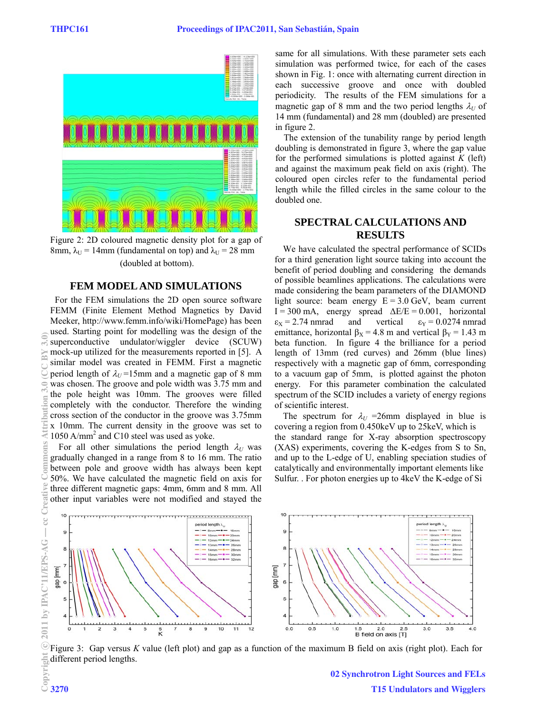

Figure 2: 2D coloured magnetic density plot for a gap of 8mm,  $\lambda_U$  = 14mm (fundamental on top) and  $\lambda_U$  = 28 mm (doubled at bottom).

#### **FEM MODEL AND SIMULATIONS**

 For the FEM simulations the 2D open source software FEMM (Finite Element Method Magnetics by David Meeker, http://www.femm.info/wiki/HomePage) has been used. Starting point for modelling was the design of the superconductive undulator/wiggler device (SCUW) mock-up utilized for the measurements reported in [5]. A similar model was created in FEMM. First a magnetic period length of  $\lambda_U$ =15mm and a magnetic gap of 8 mm was chosen. The groove and pole width was 3.75 mm and the pole height was 10mm. The grooves were filled completely with the conductor. Therefore the winding cross section of the conductor in the groove was 3.75mm x 10mm. The current density in the groove was set to 1050 A/mm2 and C10 steel was used as yoke.

For all other simulations the period length  $\lambda_U$  was gradually changed in a range from 8 to 16 mm. The ratio between pole and groove width has always been kept 50%. We have calculated the magnetic field on axis for three different magnetic gaps: 4mm, 6mm and 8 mm. All other input variables were not modified and stayed the same for all simulations. With these parameter sets each simulation was performed twice, for each of the cases shown in Fig. 1: once with alternating current direction in each successive groove and once with doubled periodicity. The results of the FEM simulations for a magnetic gap of 8 mm and the two period lengths  $\lambda_U$  of 14 mm (fundamental) and 28 mm (doubled) are presented in figure 2.

The extension of the tunability range by period length doubling is demonstrated in figure 3, where the gap value for the performed simulations is plotted against  $K$  (left) and against the maximum peak field on axis (right). The coloured open circles refer to the fundamental period length while the filled circles in the same colour to the doubled one.

## **SPECTRAL CALCULATIONS AND RESULTS**

We have calculated the spectral performance of SCIDs for a third generation light source taking into account the benefit of period doubling and considering the demands of possible beamlines applications. The calculations were made considering the beam parameters of the DIAMOND light source: beam energy  $E = 3.0$  GeV, beam current  $I = 300$  mA, energy spread  $\Delta E/E = 0.001$ , horizontal  $\varepsilon_X = 2.74$  nmrad and vertical  $\varepsilon_Y = 0.0274$  nmrad emittance, horizontal  $\beta_X = 4.8$  m and vertical  $\beta_Y = 1.43$  m beta function. In figure 4 the brilliance for a period length of 13mm (red curves) and 26mm (blue lines) respectively with a magnetic gap of 6mm, corresponding to a vacuum gap of 5mm, is plotted against the photon energy. For this parameter combination the calculated spectrum of the SCID includes a variety of energy regions of scientific interest.

The spectrum for  $\lambda_U$  =26mm displayed in blue is covering a region from 0.450keV up to 25keV, which is the standard range for X-ray absorption spectroscopy (XAS) experiments, covering the K-edges from S to Sn, and up to the L-edge of U, enabling speciation studies of catalytically and environmentally important elements like Sulfur. . For photon energies up to 4keV the K-edge of Si



Figure 3: Gap versus *K* value (left plot) and gap as a function of the maximum B field on axis (right plot). Each for different period lengths.